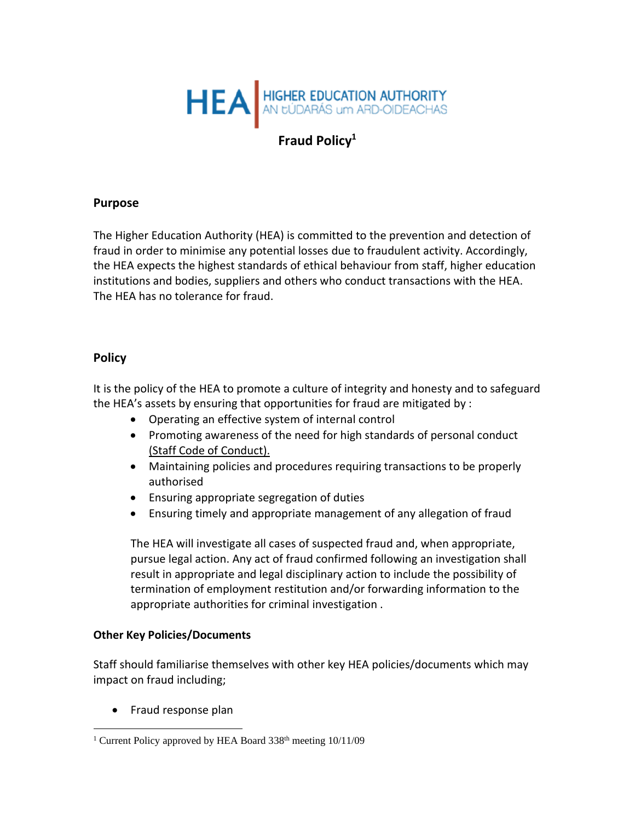

# **Fraud Policy<sup>1</sup>**

#### **Purpose**

The Higher Education Authority (HEA) is committed to the prevention and detection of fraud in order to minimise any potential losses due to fraudulent activity. Accordingly, the HEA expects the highest standards of ethical behaviour from staff, higher education institutions and bodies, suppliers and others who conduct transactions with the HEA. The HEA has no tolerance for fraud.

#### **Policy**

It is the policy of the HEA to promote a culture of integrity and honesty and to safeguard the HEA's assets by ensuring that opportunities for fraud are mitigated by :

- Operating an effective system of internal control
- Promoting awareness of the need for high standards of personal conduct [\(Staff Code of Conduct\).](https://hr.per.gov.ie/policy/ethics-and-standards/codes-of-conduct/#civil servants)
- Maintaining policies and procedures requiring transactions to be properly authorised
- Ensuring appropriate segregation of duties
- Ensuring timely and appropriate management of any allegation of fraud

The HEA will investigate all cases of suspected fraud and, when appropriate, pursue legal action. Any act of fraud confirmed following an investigation shall result in appropriate and legal disciplinary action to include the possibility of termination of employment restitution and/or forwarding information to the appropriate authorities for criminal investigation .

#### **Other Key Policies/Documents**

Staff should familiarise themselves with other key HEA policies/documents which may impact on fraud including;

• Fraud response plan

<sup>&</sup>lt;sup>1</sup> Current Policy approved by HEA Board  $338<sup>th</sup>$  meeting  $10/11/09$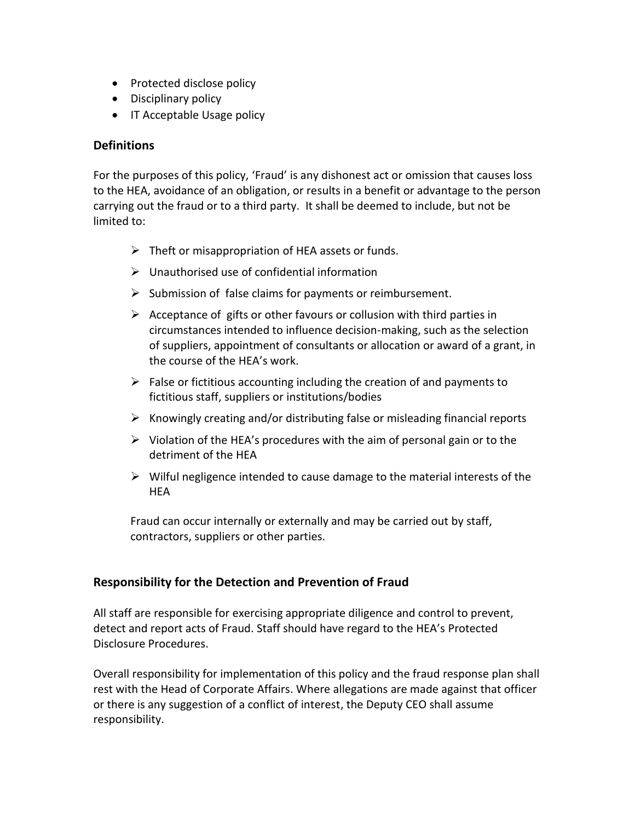- Protected disclose policy
- Disciplinary policy
- IT Acceptable Usage policy

# **Definitions**

For the purposes of this policy, 'Fraud' is any dishonest act or omission that causes loss to the HEA, avoidance of an obligation, or results in a benefit or advantage to the person carrying out the fraud or to a third party. It shall be deemed to include, but not be limited to:

- $\triangleright$  Theft or misappropriation of HEA assets or funds.
- $\triangleright$  Unauthorised use of confidential information
- $\triangleright$  Submission of false claims for payments or reimbursement.
- $\triangleright$  Acceptance of gifts or other favours or collusion with third parties in circumstances intended to influence decision-making, such as the selection of suppliers, appointment of consultants or allocation or award of a grant, in the course of the HEA's work.
- $\triangleright$  False or fictitious accounting including the creation of and payments to fictitious staff, suppliers or institutions/bodies
- $\triangleright$  Knowingly creating and/or distributing false or misleading financial reports
- $\triangleright$  Violation of the HEA's procedures with the aim of personal gain or to the detriment of the HEA
- ➢ Wilful negligence intended to cause damage to the material interests of the **HEA**

Fraud can occur internally or externally and may be carried out by staff, contractors, suppliers or other parties.

# **Responsibility for the Detection and Prevention of Fraud**

All staff are responsible for exercising appropriate diligence and control to prevent, detect and report acts of Fraud. Staff should have regard to the HEA's Protected Disclosure Procedures.

Overall responsibility for implementation of this policy and the fraud response plan shall rest with the Head of Corporate Affairs. Where allegations are made against that officer or there is any suggestion of a conflict of interest, the Deputy CEO shall assume responsibility.